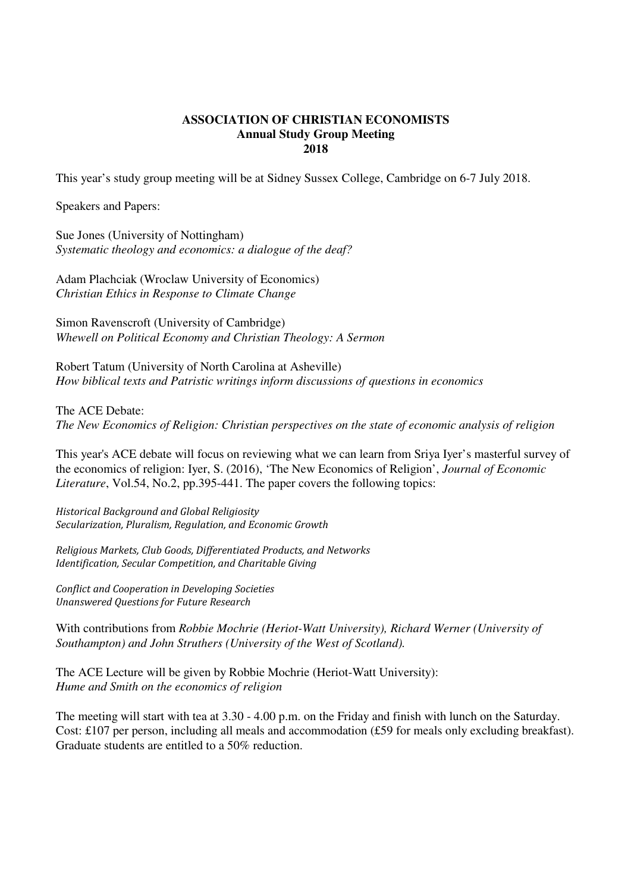## **ASSOCIATION OF CHRISTIAN ECONOMISTS Annual Study Group Meeting 2018**

This year's study group meeting will be at Sidney Sussex College, Cambridge on 6-7 July 2018.

Speakers and Papers:

Sue Jones (University of Nottingham) *Systematic theology and economics: a dialogue of the deaf?* 

Adam Plachciak (Wroclaw University of Economics) *Christian Ethics in Response to Climate Change* 

Simon Ravenscroft (University of Cambridge) *Whewell on Political Economy and Christian Theology: A Sermon* 

Robert Tatum (University of North Carolina at Asheville) *How biblical texts and Patristic writings inform discussions of questions in economics* 

The ACE Debate: *The New Economics of Religion: Christian perspectives on the state of economic analysis of religion* 

This year's ACE debate will focus on reviewing what we can learn from Sriya Iyer's masterful survey of the economics of religion: Iyer, S. (2016), 'The New Economics of Religion', *Journal of Economic Literature*, Vol.54, No.2, pp.395-441. The paper covers the following topics:

Historical Background and Global Religiosity Secularization, Pluralism, Regulation, and Economic Growth

Religious Markets, Club Goods, Differentiated Products, and Networks Identification, Secular Competition, and Charitable Giving

Conflict and Cooperation in Developing Societies Unanswered Questions for Future Research

With contributions from *Robbie Mochrie (Heriot-Watt University), Richard Werner (University of Southampton) and John Struthers (University of the West of Scotland).* 

The ACE Lecture will be given by Robbie Mochrie (Heriot-Watt University): *Hume and Smith on the economics of religion* 

The meeting will start with tea at 3.30 - 4.00 p.m. on the Friday and finish with lunch on the Saturday. Cost: £107 per person, including all meals and accommodation (£59 for meals only excluding breakfast). Graduate students are entitled to a 50% reduction.